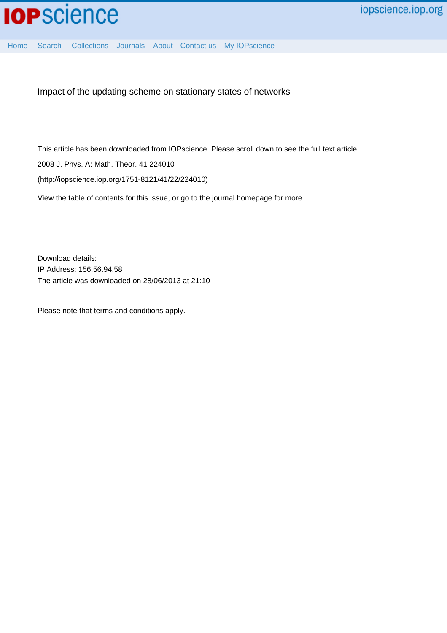[Home](http://iopscience.iop.org/) [Search](http://iopscience.iop.org/search) [Collections](http://iopscience.iop.org/collections) [Journals](http://iopscience.iop.org/journals) [About](http://iopscience.iop.org/page/aboutioppublishing) [Contact us](http://iopscience.iop.org/contact) [My IOPscience](http://iopscience.iop.org/myiopscience)

Impact of the updating scheme on stationary states of networks

This article has been downloaded from IOPscience. Please scroll down to see the full text article.

2008 J. Phys. A: Math. Theor. 41 224010

(http://iopscience.iop.org/1751-8121/41/22/224010)

View [the table of contents for this issue](http://iopscience.iop.org/1751-8121/41/22), or go to the [journal homepage](http://iopscience.iop.org/1751-8121) for more

Download details: IP Address: 156.56.94.58 The article was downloaded on 28/06/2013 at 21:10

Please note that [terms and conditions apply.](http://iopscience.iop.org/page/terms)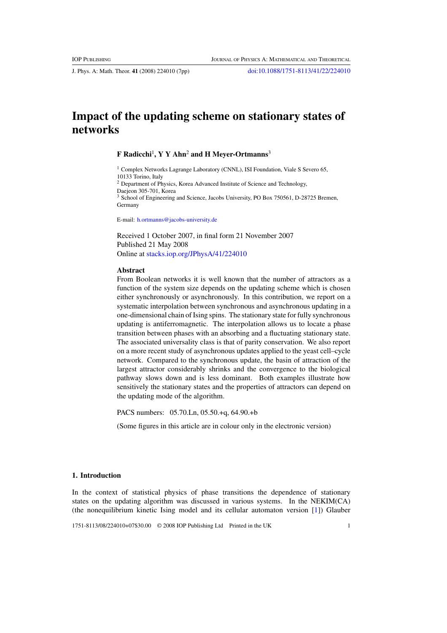J. Phys. A: Math. Theor. **41** (2008) 224010 (7pp) [doi:10.1088/1751-8113/41/22/224010](http://dx.doi.org/10.1088/1751-8113/41/22/224010)

# **Impact of the updating scheme on stationary states of networks**

# **F Radicchi**<sup>1</sup> **, Y Y Ahn**<sup>2</sup> **and H Meyer-Ortmanns**<sup>3</sup>

<sup>1</sup> Complex Networks Lagrange Laboratory (CNNL), ISI Foundation, Viale S Severo 65, 10133 Torino, Italy <sup>2</sup> Department of Physics, Korea Advanced Institute of Science and Technology, Daejeon 305-701, Korea <sup>3</sup> School of Engineering and Science, Jacobs University, PO Box 750561, D-28725 Bremen, Germany

E-mail: [h.ortmanns@jacobs-university.de](mailto:h.ortmanns@jacobs-university.de)

Received 1 October 2007, in final form 21 November 2007 Published 21 May 2008 Online at [stacks.iop.org/JPhysA/41/224010](http://stacks.iop.org/ JPhysA/41/224010)

### **Abstract**

From Boolean networks it is well known that the number of attractors as a function of the system size depends on the updating scheme which is chosen either synchronously or asynchronously. In this contribution, we report on a systematic interpolation between synchronous and asynchronous updating in a one-dimensional chain of Ising spins. The stationary state for fully synchronous updating is antiferromagnetic. The interpolation allows us to locate a phase transition between phases with an absorbing and a fluctuating stationary state. The associated universality class is that of parity conservation. We also report on a more recent study of asynchronous updates applied to the yeast cell–cycle network. Compared to the synchronous update, the basin of attraction of the largest attractor considerably shrinks and the convergence to the biological pathway slows down and is less dominant. Both examples illustrate how sensitively the stationary states and the properties of attractors can depend on the updating mode of the algorithm.

PACS numbers: 05.70.Ln, 05.50.+q, 64.90.+b

(Some figures in this article are in colour only in the electronic version)

# **1. Introduction**

In the context of statistical physics of phase transitions the dependence of stationary states on the updating algorithm was discussed in various systems. In the NEKIM(CA) (the nonequilibrium kinetic Ising model and its cellular automaton version [\[1](#page-7-0)]) Glauber

1751-8113/08/224010+07\$30.00 © 2008 IOP Publishing Ltd Printed in the UK 1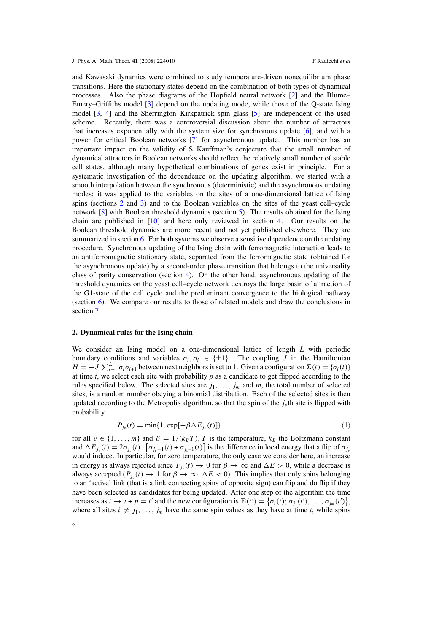and Kawasaki dynamics were combined to study temperature-driven nonequilibrium phase transitions. Here the stationary states depend on the combination of both types of dynamical processes. Also the phase diagrams of the Hopfield neural network [\[2\]](#page-7-0) and the Blume– Emery–Griffiths model [\[3](#page-7-0)] depend on the updating mode, while those of the Q-state Ising model [\[3](#page-7-0), [4](#page-7-0)] and the Sherrington–Kirkpatrick spin glass [\[5\]](#page-7-0) are independent of the used scheme. Recently, there was a controversial discussion about the number of attractors that increases exponentially with the system size for synchronous update [\[6\]](#page-7-0), and with a power for critical Boolean networks [\[7](#page-7-0)] for asynchronous update. This number has an important impact on the validity of S Kauffman's conjecture that the small number of dynamical attractors in Boolean networks should reflect the relatively small number of stable cell states, although many hypothetical combinations of genes exist in principle. For a systematic investigation of the dependence on the updating algorithm, we started with a smooth interpolation between the synchronous (deterministic) and the asynchronous updating modes; it was applied to the variables on the sites of a one-dimensional lattice of Ising spins (sections 2 and [3\)](#page-3-0) and to the Boolean variables on the sites of the yeast cell–cycle network [\[8\]](#page-7-0) with Boolean threshold dynamics (section [5\)](#page-4-0). The results obtained for the Ising chain are published in [\[10\]](#page-7-0) and here only reviewed in section [4.](#page-4-0) Our results on the Boolean threshold dynamics are more recent and not yet published elsewhere. They are summarized in section [6.](#page-5-0) For both systems we observe a sensitive dependence on the updating procedure. Synchronous updating of the Ising chain with ferromagnetic interaction leads to an antiferromagnetic stationary state, separated from the ferromagnetic state (obtained for the asynchronous update) by a second-order phase transition that belongs to the universality class of parity conservation (section [4\)](#page-4-0). On the other hand, asynchronous updating of the threshold dynamics on the yeast cell–cycle network destroys the large basin of attraction of the G1-state of the cell cycle and the predominant convergence to the biological pathway (section [6\)](#page-5-0). We compare our results to those of related models and draw the conclusions in section [7.](#page-6-0)

#### **2. Dynamical rules for the Ising chain**

We consider an Ising model on a one-dimensional lattice of length *L* with periodic boundary conditions and variables  $\sigma_i$ ,  $\sigma_i \in \{\pm 1\}$ . The coupling *J* in the Hamiltonian  $H = -J \sum_{i=1}^{L} \sigma_i \sigma_{i+1}$  between next neighbors is set to 1. Given a configuration  $\Sigma(t) = \{\sigma_i(t)\}$ at time *t*, we select each site with probability *p* as a candidate to get flipped according to the rules specified below. The selected sites are  $j_1, \ldots, j_m$  and  $m$ , the total number of selected sites, is a random number obeying a binomial distribution. Each of the selected sites is then updated according to the Metropolis algorithm, so that the spin of the  $j<sub>v</sub>$ <sup>th</sup> site is flipped with probability

$$
P_{j_v}(t) = \min\{1, \exp[-\beta \Delta E_{j_v}(t)]\}
$$
 (1)

for all  $v \in \{1, ..., m\}$  and  $\beta = 1/(k_B T)$ , T is the temperature,  $k_B$  the Boltzmann constant and  $\Delta E_{j_v}(t) = 2\sigma_{j_v}(t) \cdot [\sigma_{j_v-1}(t) + \sigma_{j_v+1}(t)]$  is the difference in local energy that a flip of  $\sigma_{j_v}$ would induce. In particular, for zero temperature, the only case we consider here, an increase in energy is always rejected since  $P_i(t) \to 0$  for  $\beta \to \infty$  and  $\Delta E > 0$ , while a decrease is always accepted  $(P_{i_0}(t) \to 1$  for  $\beta \to \infty$ ,  $\Delta E < 0$ ). This implies that only spins belonging to an 'active' link (that is a link connecting spins of opposite sign) can flip and do flip if they have been selected as candidates for being updated. After one step of the algorithm the time increases as  $t \to t + p = t'$  and the new configuration is  $\Sigma(t') = \{\sigma_i(t); \sigma_{j_1}(t'), \dots, \sigma_{j_m}(t')\},\$ where all sites  $i \neq j_1, \ldots, j_m$  have the same spin values as they have at time *t*, while spins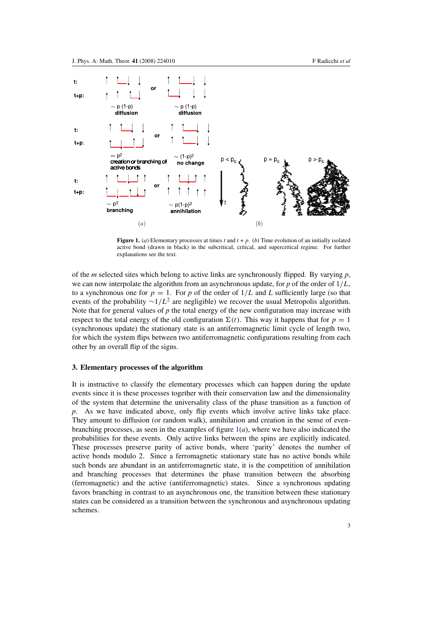<span id="page-3-0"></span>

**Figure 1.** (*a*) Elementary processes at times *t* and  $t + p$ . (*b*) Time evolution of an initially isolated active bond (drawn in black) in the subcritical, critical, and supercritical regime. For further explanations see the text.

of the *m* selected sites which belong to active links are synchronously flipped. By varying *p*, we can now interpolate the algorithm from an asynchronous update, for *p* of the order of 1*/L*, to a synchronous one for  $p = 1$ . For p of the order of  $1/L$  and L sufficiently large (so that events of the probability  $\sim 1/L^2$  are negligible) we recover the usual Metropolis algorithm. Note that for general values of *p* the total energy of the new configuration may increase with respect to the total energy of the old configuration  $\Sigma(t)$ . This way it happens that for  $p = 1$ (synchronous update) the stationary state is an antiferromagnetic limit cycle of length two, for which the system flips between two antiferromagnetic configurations resulting from each other by an overall flip of the signs.

# **3. Elementary processes of the algorithm**

It is instructive to classify the elementary processes which can happen during the update events since it is these processes together with their conservation law and the dimensionality of the system that determine the universality class of the phase transition as a function of *p*. As we have indicated above, only flip events which involve active links take place. They amount to diffusion (or random walk), annihilation and creation in the sense of evenbranching processes, as seen in the examples of figure  $1(a)$ , where we have also indicated the probabilities for these events. Only active links between the spins are explicitly indicated. These processes preserve parity of active bonds, where 'parity' denotes the number of active bonds modulo 2. Since a ferromagnetic stationary state has no active bonds while such bonds are abundant in an antiferromagnetic state, it is the competition of annihilation and branching processes that determines the phase transition between the absorbing (ferromagnetic) and the active (antiferromagnetic) states. Since a synchronous updating favors branching in contrast to an asynchronous one, the transition between these stationary states can be considered as a transition between the synchronous and asynchronous updating schemes.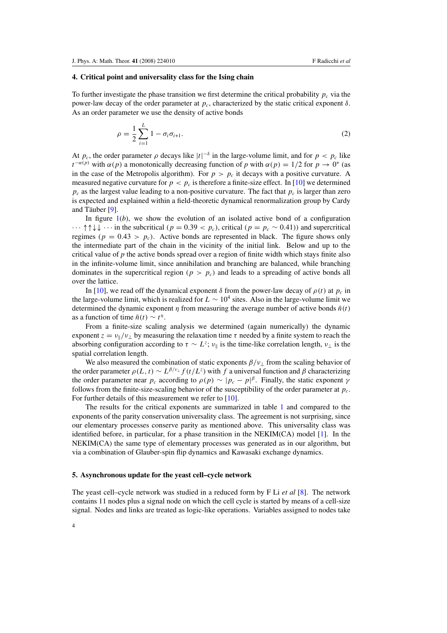# <span id="page-4-0"></span>**4. Critical point and universality class for the Ising chain**

To further investigate the phase transition we first determine the critical probability  $p_c$  via the power-law decay of the order parameter at  $p_c$ , characterized by the static critical exponent *δ*. As an order parameter we use the density of active bonds

$$
\rho = \frac{1}{2} \sum_{i=1}^{L} 1 - \sigma_i \sigma_{i+1}.
$$
\n(2)

At  $p_c$ , the order parameter  $\rho$  decays like  $|t|^{-\delta}$  in the large-volume limit, and for  $p < p_c$  like  $t^{-\alpha(p)}$  with  $\alpha(p)$  a monotonically decreasing function of *p* with  $\alpha(p) = 1/2$  for  $p \rightarrow 0^+$  (as in the case of the Metropolis algorithm). For  $p > p_c$  it decays with a positive curvature. A measured negative curvature for  $p < p_c$  is therefore a finite-size effect. In [\[10\]](#page-7-0) we determined  $p_c$  as the largest value leading to a non-positive curvature. The fact that  $p_c$  is larger than zero is expected and explained within a field-theoretic dynamical renormalization group by Cardy and Täuber  $[9]$  $[9]$ .

In figure  $1(b)$  $1(b)$ , we show the evolution of an isolated active bond of a configuration  $\cdots$  ↑↑↓↓  $\cdots$  in the subcritical  $(p = 0.39 < p_c)$ , critical  $(p = p_c \sim 0.41)$ ) and supercritical regimes  $(p = 0.43 > p_c)$ . Active bonds are represented in black. The figure shows only the intermediate part of the chain in the vicinity of the initial link. Below and up to the critical value of *p* the active bonds spread over a region of finite width which stays finite also in the infinite-volume limit, since annihilation and branching are balanced, while branching dominates in the supercritical region  $(p > p_c)$  and leads to a spreading of active bonds all over the lattice.

In [\[10\]](#page-7-0), we read off the dynamical exponent  $\delta$  from the power-law decay of  $\rho(t)$  at  $p_c$  in the large-volume limit, which is realized for  $L \sim 10^4$  sites. Also in the large-volume limit we determined the dynamic exponent *η* from measuring the average number of active bonds  $\bar{n}(t)$ as a function of time  $\bar{n}(t) \sim t^{\eta}$ .

From a finite-size scaling analysis we determined (again numerically) the dynamic exponent  $z = v_0/v_1$  by measuring the relaxation time  $\tau$  needed by a finite system to reach the absorbing configuration according to  $\tau \sim L^z$ ;  $\nu_{\parallel}$  is the time-like correlation length,  $\nu_{\perp}$  is the spatial correlation length.

We also measured the combination of static exponents  $\beta/\nu_{\perp}$  from the scaling behavior of the order parameter  $\rho(L, t) \sim L^{\beta/\nu_{\perp}} f(t/L^z)$  with f a universal function and  $\beta$  characterizing the order parameter near  $p_c$  according to  $\rho(p) \sim |p_c - p|^\beta$ . Finally, the static exponent  $\gamma$ follows from the finite-size-scaling behavior of the susceptibility of the order parameter at *pc*. For further details of this measurement we refer to [\[10](#page-7-0)].

The results for the critical exponents are summarized in table [1](#page-5-0) and compared to the exponents of the parity conservation universality class. The agreement is not surprising, since our elementary processes conserve parity as mentioned above. This universality class was identified before, in particular, for a phase transition in the NEKIM(CA) model [\[1](#page-7-0)]. In the NEKIM(CA) the same type of elementary processes was generated as in our algorithm, but via a combination of Glauber-spin flip dynamics and Kawasaki exchange dynamics.

### **5. Asynchronous update for the yeast cell–cycle network**

The yeast cell–cycle network was studied in a reduced form by F Li *et al* [\[8\]](#page-7-0). The network contains 11 nodes plus a signal node on which the cell cycle is started by means of a cell-size signal. Nodes and links are treated as logic-like operations. Variables assigned to nodes take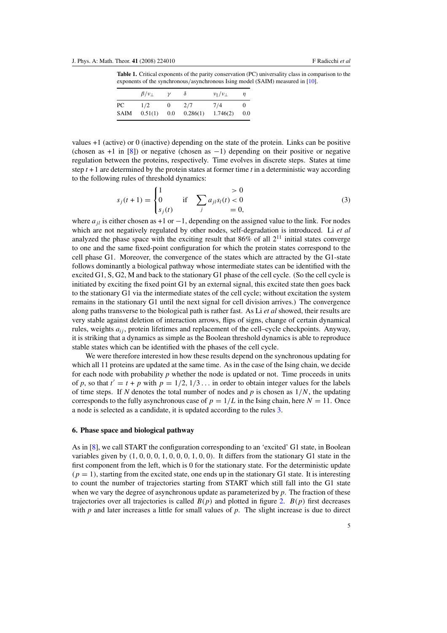<span id="page-5-0"></span>**Table 1.** Critical exponents of the parity conservation (PC) universality class in comparison to the exponents of the synchronous*/*asynchronous Ising model (SAIM) measured in [\[10\]](#page-7-0).

|             | $\beta/\nu_{\perp}$ | $\mathcal V$ | δ        | $\nu_{\parallel}/\nu_{\perp}$ | n   |
|-------------|---------------------|--------------|----------|-------------------------------|-----|
| PС          | 1/2                 | 0            | 2/7      | 7/4                           |     |
| <b>SAIM</b> | 0.51(1)             | $0.0\,$      | 0.286(1) | 1.746(2)                      | 0.0 |

values +1 (active) or 0 (inactive) depending on the state of the protein. Links can be positive (chosen as  $+1$  in [\[8\]](#page-7-0)) or negative (chosen as  $-1$ ) depending on their positive or negative regulation between the proteins, respectively. Time evolves in discrete steps. States at time step  $t + 1$  are determined by the protein states at former time  $t$  in a deterministic way according to the following rules of threshold dynamics:

$$
s_j(t+1) = \begin{cases} 1 > 0\\ 0 & \text{if} \quad \sum_j a_{jl} s_l(t) < 0\\ s_j(t) & \text{if} \quad 0 \end{cases} \tag{3}
$$

where  $a_{ij}$  is either chosen as +1 or  $-1$ , depending on the assigned value to the link. For nodes which are not negatively regulated by other nodes, self-degradation is introduced. Li *et al* analyzed the phase space with the exciting result that  $86\%$  of all  $2^{11}$  initial states converge to one and the same fixed-point configuration for which the protein states correspond to the cell phase G1. Moreover, the convergence of the states which are attracted by the G1-state follows dominantly a biological pathway whose intermediate states can be identified with the excited G1, S, G2, M and back to the stationary G1 phase of the cell cycle. (So the cell cycle is initiated by exciting the fixed point G1 by an external signal, this excited state then goes back to the stationary G1 via the intermediate states of the cell cycle; without excitation the system remains in the stationary G1 until the next signal for cell division arrives.) The convergence along paths transverse to the biological path is rather fast. As Li *et al* showed, their results are very stable against deletion of interaction arrows, flips of signs, change of certain dynamical rules, weights *aij* , protein lifetimes and replacement of the cell–cycle checkpoints. Anyway, it is striking that a dynamics as simple as the Boolean threshold dynamics is able to reproduce stable states which can be identified with the phases of the cell cycle.

We were therefore interested in how these results depend on the synchronous updating for which all 11 proteins are updated at the same time. As in the case of the Ising chain, we decide for each node with probability *p* whether the node is updated or not. Time proceeds in units of *p*, so that  $t' = t + p$  with  $p = 1/2, 1/3...$  in order to obtain integer values for the labels of time steps. If *N* denotes the total number of nodes and *p* is chosen as 1*/N*, the updating corresponds to the fully asynchronous case of  $p = 1/L$  in the Ising chain, here  $N = 11$ . Once a node is selected as a candidate, it is updated according to the rules 3.

## **6. Phase space and biological pathway**

As in [\[8](#page-7-0)], we call START the configuration corresponding to an 'excited' G1 state, in Boolean variables given by *(*1*,* 0*,* 0*,* 0*,* 1*,* 0*,* 0*,* 0*,* 1*,* 0*,* 0*)*. It differs from the stationary G1 state in the first component from the left, which is 0 for the stationary state. For the deterministic update  $(p = 1)$ , starting from the excited state, one ends up in the stationary G1 state. It is interesting to count the number of trajectories starting from START which still fall into the G1 state when we vary the degree of asynchronous update as parameterized by *p*. The fraction of these trajectories over all trajectories is called  $B(p)$  and plotted in figure [2.](#page-6-0)  $B(p)$  first decreases with *p* and later increases a little for small values of *p*. The slight increase is due to direct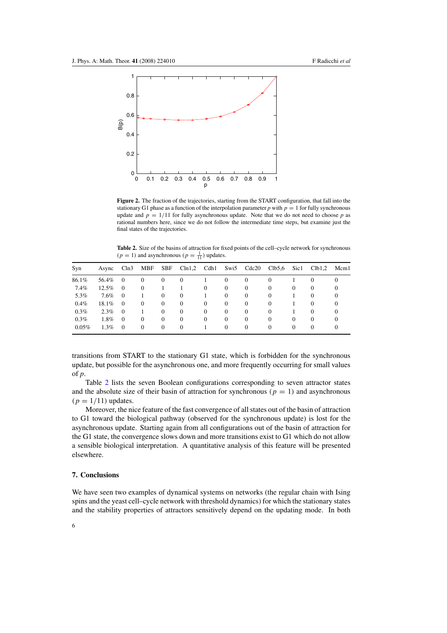<span id="page-6-0"></span>

**Figure 2.** The fraction of the trajectories, starting from the START configuration, that fall into the stationary G1 phase as a function of the interpolation parameter *p* with  $p = 1$  for fully synchronous update and  $p = 1/11$  for fully asynchronous update. Note that we do not need to choose p as rational numbers here, since we do not follow the intermediate time steps, but examine just the final states of the trajectories.

**Table 2.** Size of the basins of attraction for fixed points of the cell–cycle network for synchronous  $(p = 1)$  and asynchronous  $(p = \frac{1}{11})$  updates.

| Syn   | Async   | Cln3           | MBF          | <b>SBF</b>   | Cln1,2       | Cdh1     | Swi5     | Cdc20    | Clb5.6       | Sic1         | Clb1,2         | Mcm1     |
|-------|---------|----------------|--------------|--------------|--------------|----------|----------|----------|--------------|--------------|----------------|----------|
| 86.1% | 56.4%   | $\Omega$       | 0            | $\theta$     | $\Omega$     |          | $\Omega$ | $\Omega$ | 0            |              | $\Omega$       | $\Omega$ |
| 7.4%  | 12.5%   | $\theta$       | $\mathbf{0}$ |              |              | $\theta$ | $\theta$ | $\theta$ | 0            | $\mathbf{0}$ | $\overline{0}$ |          |
| 5.3%  | $7.6\%$ | $\overline{0}$ |              | $\Omega$     | $\mathbf{0}$ |          | $\Omega$ | $\theta$ | $\mathbf{0}$ |              | $\Omega$       |          |
| 0.4%  | 18.1%   | $\overline{0}$ | 0            | $\theta$     | $\Omega$     | $\theta$ | $\Omega$ | $\Omega$ | 0            |              | $\Omega$       | $\theta$ |
| 0.3%  | $2.3\%$ | $\Omega$       |              | $\Omega$     | $\Omega$     | $\Omega$ | $\Omega$ | $\Omega$ | $\Omega$     |              | $\Omega$       | $\theta$ |
| 0.3%  | 1.8%    | $\overline{0}$ | $\mathbf{0}$ | $\mathbf{0}$ | $\Omega$     | $\theta$ | $\Omega$ | $\Omega$ | 0            | $\Omega$     | $\Omega$       | $\theta$ |
| 0.05% | $1.3\%$ | $\Omega$       | $\theta$     | $\Omega$     | $\Omega$     |          | $\Omega$ | $\Omega$ | 0            | $\Omega$     | $\Omega$       | $\theta$ |

transitions from START to the stationary G1 state, which is forbidden for the synchronous update, but possible for the asynchronous one, and more frequently occurring for small values of *p*.

Table 2 lists the seven Boolean configurations corresponding to seven attractor states and the absolute size of their basin of attraction for synchronous  $(p = 1)$  and asynchronous  $(p = 1/11)$  updates.

Moreover, the nice feature of the fast convergence of all states out of the basin of attraction to G1 toward the biological pathway (observed for the synchronous update) is lost for the asynchronous update. Starting again from all configurations out of the basin of attraction for the G1 state, the convergence slows down and more transitions exist to G1 which do not allow a sensible biological interpretation. A quantitative analysis of this feature will be presented elsewhere.

# **7. Conclusions**

We have seen two examples of dynamical systems on networks (the regular chain with Ising spins and the yeast cell–cycle network with threshold dynamics) for which the stationary states and the stability properties of attractors sensitively depend on the updating mode. In both